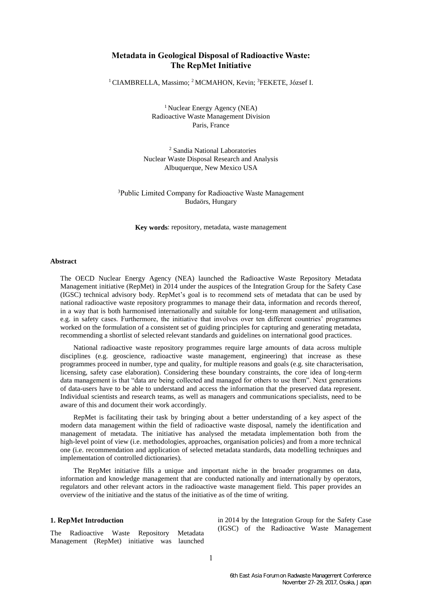## **Metadata in Geological Disposal of Radioactive Waste: The RepMet Initiative**

<sup>1</sup> CIAMBRELLA, Massimo; <sup>2</sup> MCMAHON, Kevin; <sup>3</sup>FEKETE, József I.

<sup>1</sup> Nuclear Energy Agency (NEA) Radioactive Waste Management Division Paris, France

<sup>2</sup> Sandia National Laboratories Nuclear Waste Disposal Research and Analysis Albuquerque, New Mexico USA

<sup>3</sup>Public Limited Company for Radioactive Waste Management Budaörs, Hungary

**Key words**: repository, metadata, waste management

### **Abstract**

The OECD Nuclear Energy Agency (NEA) launched the Radioactive Waste Repository Metadata Management initiative (RepMet) in 2014 under the auspices of the Integration Group for the Safety Case (IGSC) technical advisory body. RepMet's goal is to recommend sets of metadata that can be used by national radioactive waste repository programmes to manage their data, information and records thereof, in a way that is both harmonised internationally and suitable for long-term management and utilisation, e.g. in safety cases. Furthermore, the initiative that involves over ten different countries' programmes worked on the formulation of a consistent set of guiding principles for capturing and generating metadata, recommending a shortlist of selected relevant standards and guidelines on international good practices.

National radioactive waste repository programmes require large amounts of data across multiple disciplines (e.g. geoscience, radioactive waste management, engineering) that increase as these programmes proceed in number, type and quality, for multiple reasons and goals (e.g. site characterisation, licensing, safety case elaboration). Considering these boundary constraints, the core idea of long-term data management is that "data are being collected and managed for others to use them". Next generations of data-users have to be able to understand and access the information that the preserved data represent. Individual scientists and research teams, as well as managers and communications specialists, need to be aware of this and document their work accordingly.

RepMet is facilitating their task by bringing about a better understanding of a key aspect of the modern data management within the field of radioactive waste disposal, namely the identification and management of metadata. The initiative has analysed the metadata implementation both from the high-level point of view (i.e. methodologies, approaches, organisation policies) and from a more technical one (i.e. recommendation and application of selected metadata standards, data modelling techniques and implementation of controlled dictionaries).

The RepMet initiative fills a unique and important niche in the broader programmes on data, information and knowledge management that are conducted nationally and internationally by operators, regulators and other relevant actors in the radioactive waste management field. This paper provides an overview of the initiative and the status of the initiative as of the time of writing.

### **1. RepMet Introduction**

The Radioactive Waste Repository Metadata Management (RepMet) initiative was launched

in 2014 by the Integration Group for the Safety Case (IGSC) of the Radioactive Waste Management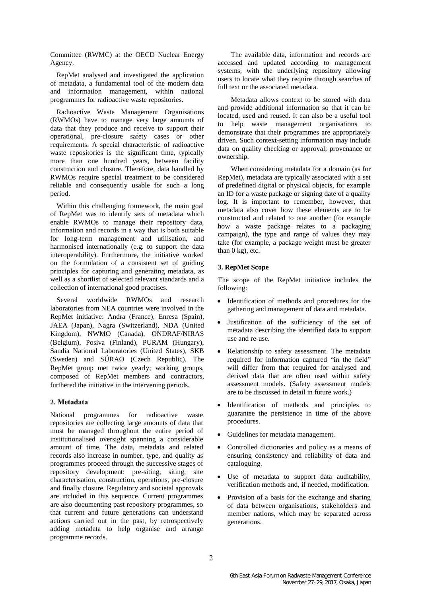Committee (RWMC) at the OECD Nuclear Energy Agency.

RepMet analysed and investigated the application of metadata, a fundamental tool of the modern data and information management, within national programmes for radioactive waste repositories.

Radioactive Waste Management Organisations (RWMOs) have to manage very large amounts of data that they produce and receive to support their operational, pre-closure safety cases or other requirements. A special characteristic of radioactive waste repositories is the significant time, typically more than one hundred years, between facility construction and closure. Therefore, data handled by RWMOs require special treatment to be considered reliable and consequently usable for such a long period.

Within this challenging framework, the main goal of RepMet was to identify sets of metadata which enable RWMOs to manage their repository data, information and records in a way that is both suitable for long-term management and utilisation, and harmonised internationally (e.g. to support the data interoperability). Furthermore, the initiative worked on the formulation of a consistent set of guiding principles for capturing and generating metadata, as well as a shortlist of selected relevant standards and a collection of international good practises.

Several worldwide RWMOs and research laboratories from NEA countries were involved in the RepMet initiative: Andra (France), Enresa (Spain), JAEA (Japan), Nagra (Switzerland), NDA (United Kingdom), NWMO (Canada), ONDRAF/NIRAS (Belgium), Posiva (Finland), PURAM (Hungary), Sandia National Laboratories (United States), SKB (Sweden) and SÚRAO (Czech Republic). The RepMet group met twice yearly; working groups, composed of RepMet members and contractors, furthered the initiative in the intervening periods.

## **2. Metadata**

National programmes for radioactive waste repositories are collecting large amounts of data that must be managed throughout the entire period of institutionalised oversight spanning a considerable amount of time. The data, metadata and related records also increase in number, type, and quality as programmes proceed through the successive stages of repository development: pre-siting, siting, site characterisation, construction, operations, pre-closure and finally closure. Regulatory and societal approvals are included in this sequence. Current programmes are also documenting past repository programmes, so that current and future generations can understand actions carried out in the past, by retrospectively adding metadata to help organise and arrange programme records.

The available data, information and records are accessed and updated according to management systems, with the underlying repository allowing users to locate what they require through searches of full text or the associated metadata.

Metadata allows context to be stored with data and provide additional information so that it can be located, used and reused. It can also be a useful tool to help waste management organisations to demonstrate that their programmes are appropriately driven. Such context-setting information may include data on quality checking or approval; provenance or ownership.

When considering metadata for a domain (as for RepMet), metadata are typically associated with a set of predefined digital or physical objects, for example an ID for a waste package or signing date of a quality log. It is important to remember, however, that metadata also cover how these elements are to be constructed and related to one another (for example how a waste package relates to a packaging campaign), the type and range of values they may take (for example, a package weight must be greater than  $0 \text{ kg}$ , etc.

## **3. RepMet Scope**

The scope of the RepMet initiative includes the following:

- Identification of methods and procedures for the gathering and management of data and metadata.
- Justification of the sufficiency of the set of metadata describing the identified data to support use and re-use.
- Relationship to safety assessment. The metadata required for information captured "in the field" will differ from that required for analysed and derived data that are often used within safety assessment models. (Safety assessment models are to be discussed in detail in future work.)
- Identification of methods and principles to guarantee the persistence in time of the above procedures.
- Guidelines for metadata management.
- Controlled dictionaries and policy as a means of ensuring consistency and reliability of data and cataloguing.
- Use of metadata to support data auditability, verification methods and, if needed, modification.
- Provision of a basis for the exchange and sharing of data between organisations, stakeholders and member nations, which may be separated across generations.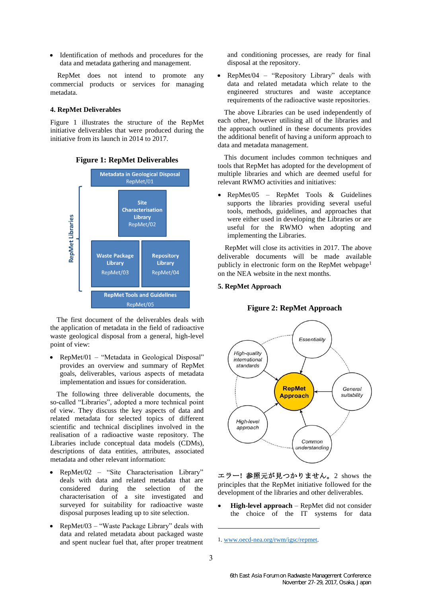Identification of methods and procedures for the data and metadata gathering and management.

RepMet does not intend to promote any commercial products or services for managing metadata.

## **4. RepMet Deliverables**

Figure 1 illustrates the structure of the RepMet initiative deliverables that were produced during the initiative from its launch in 2014 to 2017.



# **Figure 1: RepMet Deliverables**

The first document of the deliverables deals with the application of metadata in the field of radioactive waste geological disposal from a general, high-level point of view:

• RepMet/01 – "Metadata in Geological Disposal" provides an overview and summary of RepMet goals, deliverables, various aspects of metadata implementation and issues for consideration.

The following three deliverable documents, the so-called "Libraries", adopted a more technical point of view. They discuss the key aspects of data and related metadata for selected topics of different scientific and technical disciplines involved in the realisation of a radioactive waste repository. The Libraries include conceptual data models (CDMs), descriptions of data entities, attributes, associated metadata and other relevant information:

- RepMet/02 "Site Characterisation Library" deals with data and related metadata that are considered during the selection of the characterisation of a site investigated and surveyed for suitability for radioactive waste disposal purposes leading up to site selection.
- RepMet/03 "Waste Package Library" deals with data and related metadata about packaged waste and spent nuclear fuel that, after proper treatment

and conditioning processes, are ready for final disposal at the repository.

• RepMet/04 – "Repository Library" deals with data and related metadata which relate to the engineered structures and waste acceptance requirements of the radioactive waste repositories.

The above Libraries can be used independently of each other, however utilising all of the libraries and the approach outlined in these documents provides the additional benefit of having a uniform approach to data and metadata management.

This document includes common techniques and tools that RepMet has adopted for the development of multiple libraries and which are deemed useful for relevant RWMO activities and initiatives:

• RepMet/05 – RepMet Tools & Guidelines supports the libraries providing several useful tools, methods, guidelines, and approaches that were either used in developing the Libraries or are useful for the RWMO when adopting and implementing the Libraries.

RepMet will close its activities in 2017. The above deliverable documents will be made available publicly in electronic form on the RepMet webpage<sup>1</sup> on the NEA website in the next months.

#### **5. RepMet Approach**

## **Figure 2: RepMet Approach**



エラー**!** 参照元が見つかりません。2 shows the principles that the RepMet initiative followed for the development of the libraries and other deliverables.

**High-level approach** – RepMet did not consider the choice of the IT systems for data

-

<sup>1</sup>. [www.oecd-nea.org/rwm/igsc/repmet.](file:///C:/Users/griffiths_j/AppData/Local/Microsoft/Windows/INetCache/Content.Outlook/PVF3VY8Z/www.oecd-nea.org/rwm/igsc/repmet)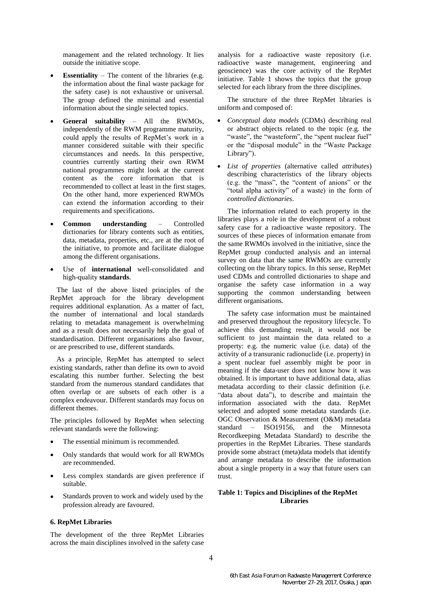management and the related technology. It lies outside the initiative scope.

- **Essentiality** The content of the libraries (e.g. the information about the final waste package for the safety case) is not exhaustive or universal. The group defined the minimal and essential information about the single selected topics.
- **General suitability** All the RWMOs, independently of the RWM programme maturity, could apply the results of RepMet's work in a manner considered suitable with their specific circumstances and needs. In this perspective, countries currently starting their own RWM national programmes might look at the current content as the core information that is recommended to collect at least in the first stages. On the other hand, more experienced RWMOs can extend the information according to their requirements and specifications.
- **Common understanding** Controlled dictionaries for library contents such as entities, data, metadata, properties, etc., are at the root of the initiative, to promote and facilitate dialogue among the different organisations.
- Use of **international** well-consolidated and high-quality **standards**.

The last of the above listed principles of the RepMet approach for the library development requires additional explanation. As a matter of fact, the number of international and local standards relating to metadata management is overwhelming and as a result does not necessarily help the goal of standardisation. Different organisations also favour, or are prescribed to use, different standards.

As a principle, RepMet has attempted to select existing standards, rather than define its own to avoid escalating this number further. Selecting the best standard from the numerous standard candidates that often overlap or are subsets of each other is a complex endeavour. Different standards may focus on different themes.

The principles followed by RepMet when selecting relevant standards were the following:

- The essential minimum is recommended.
- Only standards that would work for all RWMOs are recommended.
- Less complex standards are given preference if suitable.
- Standards proven to work and widely used by the profession already are favoured.

#### **6. RepMet Libraries**

The development of the three RepMet Libraries across the main disciplines involved in the safety case analysis for a radioactive waste repository (i.e. radioactive waste management, engineering and geoscience) was the core activity of the RepMet initiative. Table 1 shows the topics that the group selected for each library from the three disciplines.

The structure of the three RepMet libraries is uniform and composed of:

- *Conceptual data models* (CDMs) describing real or abstract objects related to the topic (e.g. the "waste", the "wasteform", the "spent nuclear fuel" or the "disposal module" in the "Waste Package Library").
- *List of properties* (alternative called *attributes*) describing characteristics of the library objects (e.g. the "mass", the "content of anions" or the "total alpha activity" of a waste) in the form of *controlled dictionaries*.

The information related to each property in the libraries plays a role in the development of a robust safety case for a radioactive waste repository. The sources of these pieces of information emanate from the same RWMOs involved in the initiative, since the RepMet group conducted analysis and an internal survey on data that the same RWMOs are currently collecting on the library topics. In this sense, RepMet used CDMs and controlled dictionaries to shape and organise the safety case information in a way supporting the common understanding between different organisations.

The safety case information must be maintained and preserved throughout the repository lifecycle. To achieve this demanding result, it would not be sufficient to just maintain the data related to a property: e.g. the numeric value (i.e. data) of the activity of a transuranic radionuclide (i.e. property) in a spent nuclear fuel assembly might be poor in meaning if the data-user does not know how it was obtained. It is important to have additional data, alias metadata according to their classic definition (i.e. "data about data"), to describe and maintain the information associated with the data. RepMet selected and adopted some metadata standards (i.e. OGC Observation & Measurement (O&M) metadata standard – ISO19156, and the Minnesota Recordkeeping Metadata Standard) to describe the properties in the RepMet Libraries. These standards provide some abstract (meta)data models that identify and arrange metadata to describe the information about a single property in a way that future users can trust.

## **Table 1: Topics and Disciplines of the RepMet Libraries**